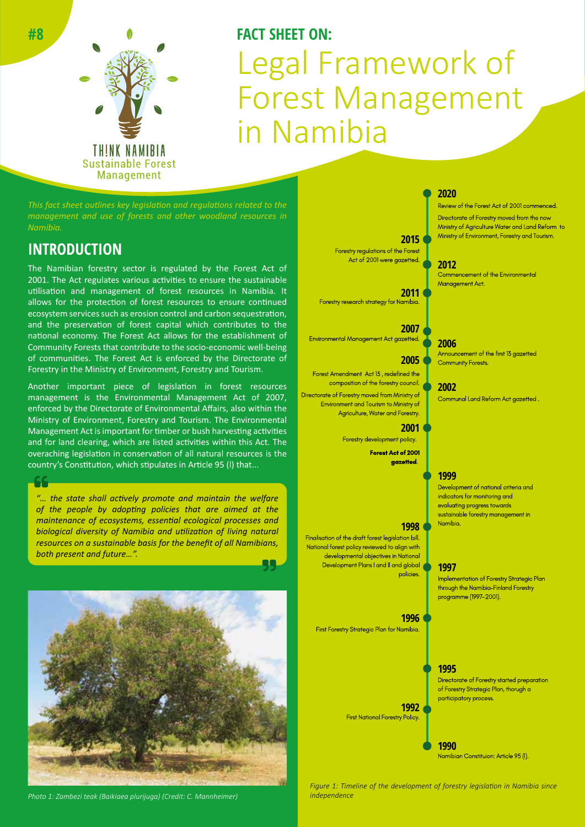

# **FACT SHEET ON:** Legal Framework of Forest Management in Namibia

*This fact sheet outlines key legislation and regulations related to the management and use of forests and other woodland resources in* 

### **INTRODUCTION**

The Namibian forestry sector is regulated by the Forest Act of 2001. The Act regulates various activities to ensure the sustainable utilisation and management of forest resources in Namibia. It allows for the protection of forest resources to ensure continued ecosystem services such as erosion control and carbon sequestration, and the preservation of forest capital which contributes to the national economy. The Forest Act allows for the establishment of Community Forests that contribute to the socio-economic well-being of communities. The Forest Act is enforced by the Directorate of Forestry in the Ministry of Environment, Forestry and Tourism.

Another important piece of legislation in forest resources management is the Environmental Management Act of 2007, enforced by the Directorate of Environmental Affairs, also within the Ministry of Environment, Forestry and Tourism. The Environmental Management Act is important for timber or bush harvesting activities and for land clearing, which are listed activities within this Act. The overaching legislation in conservation of all natural resources is the country's Constitution, which stipulates in Article 95 (l) that...

*"… the state shall actively promote and maintain the welfare of the people by adopting policies that are aimed at the maintenance of ecosystems, essential ecological processes and biological diversity of Namibia and utilization of living natural resources on a sustainable basis for the benefit of all Namibians, both present and future…".*



*Photo 1: Zambezi teak (Baikiaea plurijuga) (Credit: C. Mannheimer) independence*

**2015** Forestry regulations of the Forest

Act of 2001 were gazetted.

**2011** Forestry research strategy for Namibia.

**2007** Environmental Management Act gazetted.

### **2005**

Forest Amendment Act 13 , redefined the composition of the forestry council. Directorate of Forestry moved from Ministry of Environment and Tourism to Ministry of Agriculture, Water and Forestry.

### **2001**

Forestry development policy. Forest Act of 2001

gazetted.

#### **1998**

Finalisation of the draft forest legislation bill. National forest policy reviewed to align with developmental objectives in National Development Plans I and II and global policies. **1997**

#### **1996**

First Forestry Strategic Plan for Namibia.

**1992** First National Forestry Policy.

Review of the Forest Act of 2001 commenced. **2020**

Directorate of Forestry moved from the now Ministry of Agriculture Water and Land Reform to Ministry of Environment, Forestry and Tourism.

#### **2012**

Commencement of the Environmental Management Act.

#### **2006**

Announcement of the first 13 gazetted Community Forests.

### **2002**

Communal Land Reform Act gazetted .

### **1999**

Development of national criteria and indicators for monitoring and evaluating progress towards sustainable forestry management in Namibia.

Implementation of Forestry Strategic Plan through the Namibia-Finland Forestry programme (1997-2001).

### **1995**

Directorate of Forestry started preparation of Forestry Strategic Plan, thorugh a participatory process.

**1990** Namibian Constituion: Article 95 (l).

*Figure 1: Timeline of the development of forestry legislation in Namibia since*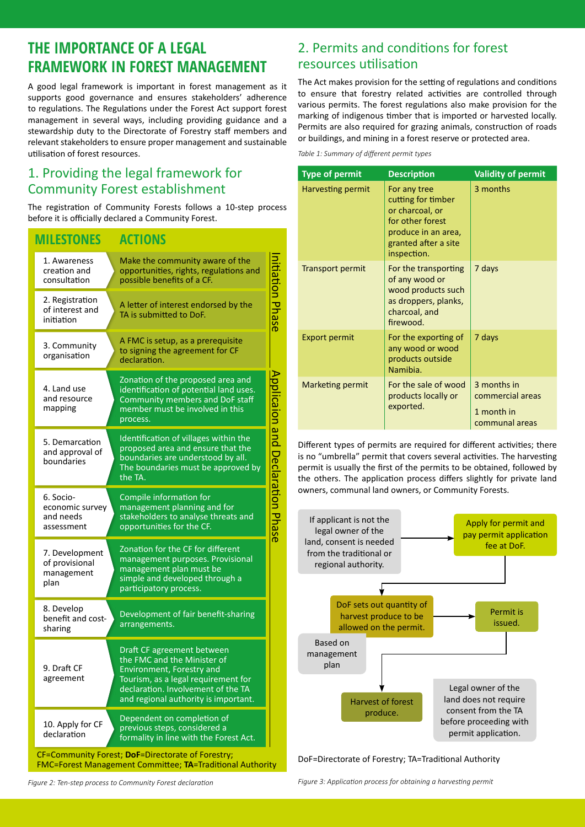### **THE IMPORTANCE OF A LEGAL FRAMEWORK IN FOREST MANAGEMENT**

A good legal framework is important in forest management as it supports good governance and ensures stakeholders' adherence to regulations. The Regulations under the Forest Act support forest management in several ways, including providing guidance and a stewardship duty to the Directorate of Forestry staff members and relevant stakeholders to ensure proper management and sustainable utilisation of forest resources.

### 1. Providing the legal framework for Community Forest establishment

The registration of Community Forests follows a 10-step process before it is officially declared a Community Forest.

### **MILESTONES ACTIONS**

| 1. Awareness<br>creation and<br>consultation                                                                          | Make the community aware of the<br>opportunities, rights, regulations and                                                                                                                                   |                  |  |
|-----------------------------------------------------------------------------------------------------------------------|-------------------------------------------------------------------------------------------------------------------------------------------------------------------------------------------------------------|------------------|--|
| 2. Registration<br>of interest and<br>initiation                                                                      | possible benefits of a CF.<br>A letter of interest endorsed by the<br>TA is submitted to DoF.                                                                                                               | itiation Phase   |  |
| 3. Community<br>organisation                                                                                          | A FMC is setup, as a prerequisite<br>to signing the agreement for CF<br>declaration.                                                                                                                        |                  |  |
| 4. Land use<br>and resource<br>mapping                                                                                | Zonation of the proposed area and<br>identification of potential land uses.<br>Community members and DoF staff<br>member must be involved in this<br>process.                                               | Applicaion and   |  |
| 5. Demarcation<br>and approval of<br>boundaries                                                                       | Identification of villages within the<br>proposed area and ensure that the<br>boundaries are understood by all.<br>The boundaries must be approved by<br>the TA.                                            | Ć                |  |
| 6. Socio-<br>economic survey<br>and needs<br>assessment                                                               | Compile information for<br>management planning and for<br>stakeholders to analyse threats and<br>opportunities for the CF.                                                                                  | eclaration Phase |  |
| 7. Development<br>of provisional<br>management<br>plan                                                                | Zonation for the CF for different<br>management purposes. Provisional<br>management plan must be<br>simple and developed through a<br>participatory process.                                                |                  |  |
| 8. Develop<br>benefit and cost-<br>sharing                                                                            | Development of fair benefit-sharing<br>arrangements.                                                                                                                                                        |                  |  |
| 9. Draft CF<br>agreement                                                                                              | Draft CF agreement between<br>the FMC and the Minister of<br>Environment, Forestry and<br>Tourism, as a legal requirement for<br>declaration. Involvement of the TA<br>and regional authority is important. |                  |  |
| 10. Apply for CF<br>declaration                                                                                       | Dependent on completion of<br>previous steps, considered a<br>formality in line with the Forest Act.                                                                                                        |                  |  |
| CF=Community Forest; DoF=Directorate of Forestry;<br><b>FMC=Forest Management Committee: TA=Traditional Authority</b> |                                                                                                                                                                                                             |                  |  |

2. Permits and conditions for forest resources utilisation

The Act makes provision for the setting of regulations and conditions to ensure that forestry related activities are controlled through various permits. The forest regulations also make provision for the marking of indigenous timber that is imported or harvested locally. Permits are also required for grazing animals, construction of roads or buildings, and mining in a forest reserve or protected area.

*Table 1: Summary of different permit types*

| <b>Type of permit</b>   | <b>Description</b>                                                                                                                      | <b>Validity of permit</b>                                       |
|-------------------------|-----------------------------------------------------------------------------------------------------------------------------------------|-----------------------------------------------------------------|
| Harvesting permit       | For any tree<br>cutting for timber<br>or charcoal, or<br>for other forest<br>produce in an area,<br>granted after a site<br>inspection. | 3 months                                                        |
| <b>Transport permit</b> | For the transporting<br>of any wood or<br>wood products such<br>as droppers, planks,<br>charcoal, and<br>firewood.                      | 7 days                                                          |
| <b>Export permit</b>    | For the exporting of<br>any wood or wood<br>products outside<br>Namibia.                                                                | 7 days                                                          |
| Marketing permit        | For the sale of wood<br>products locally or<br>exported.                                                                                | 3 months in<br>commercial areas<br>1 month in<br>communal areas |

Different types of permits are required for different activities; there is no "umbrella" permit that covers several activities. The harvesting permit is usually the first of the permits to be obtained, followed by the others. The application process differs slightly for private land owners, communal land owners, or Community Forests.



DoF=Directorate of Forestry; TA=Traditional Authority

*Figure 2: Ten-step process to Community Forest declaration* 

*Figure 3: Application process for obtaining a harvesting permit*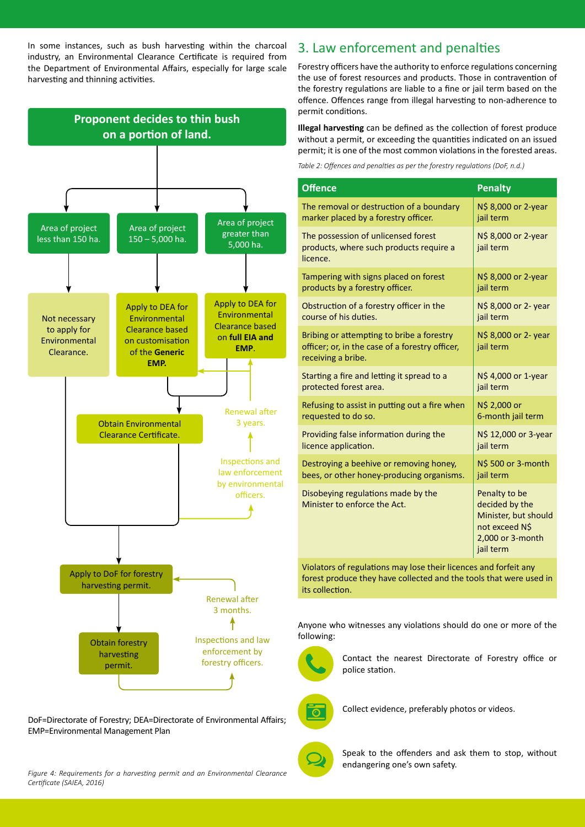In some instances, such as bush harvesting within the charcoal industry, an Environmental Clearance Certificate is required from the Department of Environmental Affairs, especially for large scale harvesting and thinning activities.



DoF=Directorate of Forestry; DEA=Directorate of Environmental Affairs; EMP=Environmental Management Plan

*Figure 4: Requirements for a harvesting permit and an Environmental Clearance Certificate (SAIEA, 2016)*

### 3. Law enforcement and penalties

Forestry officers have the authority to enforce regulations concerning the use of forest resources and products. Those in contravention of the forestry regulations are liable to a fine or jail term based on the offence. Offences range from illegal harvesting to non-adherence to permit conditions.

**Illegal harvesting** can be defined as the collection of forest produce without a permit, or exceeding the quantities indicated on an issued permit; it is one of the most common violations in the forested areas.

*Table 2: Offences and penalties as per the forestry regulations (DoF, n.d.)*

| <b>Offence</b>                                                                                                     | <b>Penalty</b>                                                                                             |
|--------------------------------------------------------------------------------------------------------------------|------------------------------------------------------------------------------------------------------------|
| The removal or destruction of a boundary                                                                           | N\$ 8,000 or 2-year                                                                                        |
| marker placed by a forestry officer.                                                                               | jail term                                                                                                  |
| The possession of unlicensed forest<br>products, where such products require a<br>licence.                         | N\$ 8,000 or 2-year<br>jail term                                                                           |
| Tampering with signs placed on forest                                                                              | N\$ 8,000 or 2-year                                                                                        |
| products by a forestry officer.                                                                                    | jail term                                                                                                  |
| Obstruction of a forestry officer in the                                                                           | N\$ 8,000 or 2- year                                                                                       |
| course of his duties.                                                                                              | jail term                                                                                                  |
| Bribing or attempting to bribe a forestry<br>officer; or, in the case of a forestry officer,<br>receiving a bribe. | N\$ 8,000 or 2- year<br>jail term                                                                          |
| Starting a fire and letting it spread to a                                                                         | N\$ 4,000 or 1-year                                                                                        |
| protected forest area.                                                                                             | jail term                                                                                                  |
| Refusing to assist in putting out a fire when                                                                      | N\$ 2,000 or                                                                                               |
| requested to do so.                                                                                                | 6-month jail term                                                                                          |
| Providing false information during the                                                                             | N\$ 12,000 or 3-year                                                                                       |
| licence application.                                                                                               | jail term                                                                                                  |
| Destroying a beehive or removing honey,                                                                            | N\$ 500 or 3-month                                                                                         |
| bees, or other honey-producing organisms.                                                                          | jail term                                                                                                  |
| Disobeying regulations made by the<br>Minister to enforce the Act.                                                 | Penalty to be<br>decided by the<br>Minister, but should<br>not exceed N\$<br>2,000 or 3-month<br>jail term |

Violators of regulations may lose their licences and forfeit any forest produce they have collected and the tools that were used in its collection.

Anyone who witnesses any violations should do one or more of the following:



Contact the nearest Directorate of Forestry office or police station.



Collect evidence, preferably photos or videos.



Speak to the offenders and ask them to stop, without endangering one's own safety.